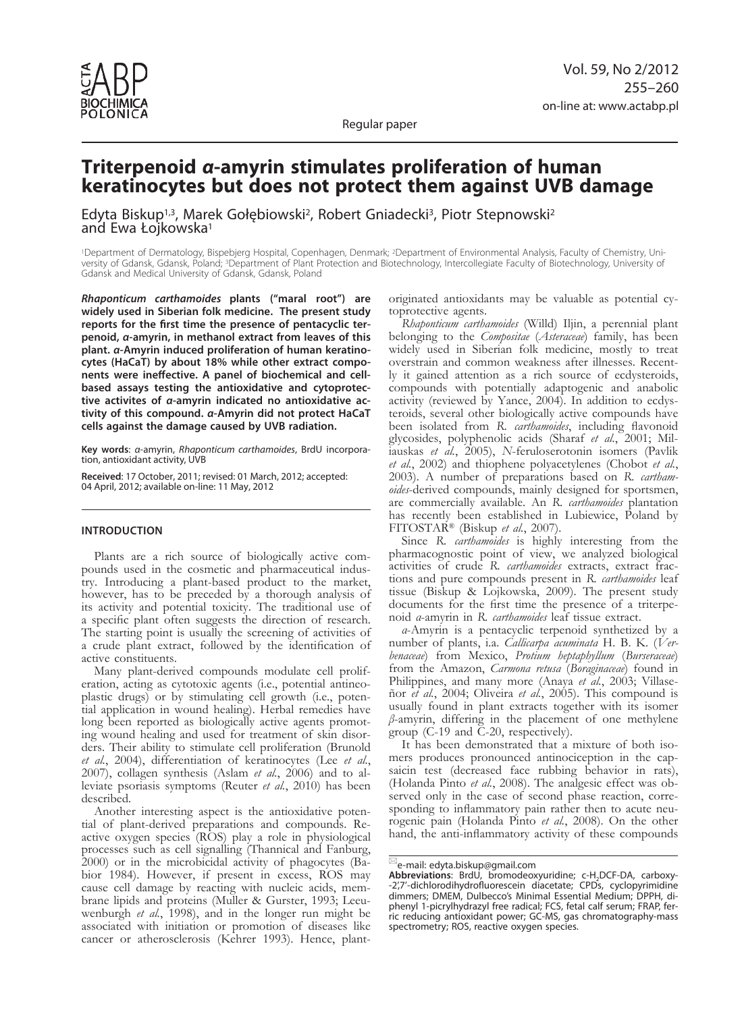

Regular paper

# **Triterpenoid** *α***-amyrin stimulates proliferation of human keratinocytes but does not protect them against UVB damage**

Edyta Biskup<sup>1,3</sup>, Marek Gołębiowski<sup>2</sup>, Robert Gniadecki<sup>3</sup>, Piotr Stepnowski<sup>2</sup> and Ewa Łojkowska<sup>1</sup>

1Department of Dermatology, Bispebjerg Hospital, Copenhagen, Denmark; 2Department of Environmental Analysis, Faculty of Chemistry, University of Gdansk, Gdansk, Poland; 3Department of Plant Protection and Biotechnology, Intercollegiate Faculty of Biotechnology, University of Gdansk and Medical University of Gdansk, Gdansk, Poland

*Rhaponticum carthamoides* **plants ("maral root") are widely used in Siberian folk medicine. The present study reports for the first time the presence of pentacyclic terpenoid,** *α***-amyrin, in methanol extract from leaves of this plant.** *α***-Amyrin induced proliferation of human keratinocytes (HaCaT) by about 18% while other extract components were ineffective. A panel of biochemical and cellbased assays testing the antioxidative and cytoprotective activites of** *α***-amyrin indicated no antioxidative activity of this compound.** *α***-Amyrin did not protect HaCaT cells against the damage caused by UVB radiation.**

**Key words**: *α*-amyrin, *Rhaponticum carthamoides*, BrdU incorporation, antioxidant activity, UVB

**Received**: 17 October, 2011; revised: 01 March, 2012; accepted: 04 April, 2012; available on-line: 11 May, 2012

## **Introduction**

Plants are a rich source of biologically active compounds used in the cosmetic and pharmaceutical industry. Introducing a plant-based product to the market, however, has to be preceded by a thorough analysis of its activity and potential toxicity. The traditional use of a specific plant often suggests the direction of research. The starting point is usually the screening of activities of a crude plant extract, followed by the identification of active constituents.

Many plant-derived compounds modulate cell proliferation, acting as cytotoxic agents (i.e., potential antineoplastic drugs) or by stimulating cell growth (i.e., potential application in wound healing). Herbal remedies have long been reported as biologically active agents promoting wound healing and used for treatment of skin disorders. Their ability to stimulate cell proliferation (Brunold *et al.*, 2004), differentiation of keratinocytes (Lee *et al.*, 2007), collagen synthesis (Aslam *et al.*, 2006) and to alleviate psoriasis symptoms (Reuter *et al.*, 2010) has been described.

Another interesting aspect is the antioxidative potential of plant-derived preparations and compounds. Reactive oxygen species (ROS) play a role in physiological processes such as cell signalling (Thannical and Fanburg, 2000) or in the microbicidal activity of phagocytes (Babior 1984). However, if present in excess, ROS may cause cell damage by reacting with nucleic acids, membrane lipids and proteins (Muller & Gurster, 1993; Leeu- wenburgh *et al.*, 1998), and in the longer run might be associated with initiation or promotion of diseases like cancer or atherosclerosis (Kehrer 1993). Hence, plantoriginated antioxidants may be valuable as potential cytoprotective agents.

*Rhaponticum carthamoides* (Willd) Iljin, a perennial plant belonging to the *Compositae* (*Asteraceae*) family, has been widely used in Siberian folk medicine, mostly to treat overstrain and common weakness after illnesses. Recently it gained attention as a rich source of ecdysteroids, compounds with potentially adaptogenic and anabolic activity (reviewed by Yance, 2004). In addition to ecdysteroids, several other biologically active compounds have been isolated from *R. carthamoides*, including flavonoid glycosides, polyphenolic acids (Sharaf *et al.*, 2001; Miliauskas *et al.*, 2005), *N*-feruloserotonin isomers (Pavlik *et al.*, 2002) and thiophene polyacetylenes (Chobot *et al.*, 2003). A number of preparations based on *R. carthamoides*-derived compounds, mainly designed for sportsmen, are commercially available. An *R. carthamoides* plantation has recently been established in Lubiewice, Poland by FITOSTAR® (Biskup *et al.*, 2007).

Since *R. carthamoides* is highly interesting from the pharmacognostic point of view, we analyzed biological activities of crude *R. carthamoides* extracts, extract fractions and pure compounds present in *R. carthamoides* leaf tissue (Biskup & Lojkowska, 2009). The present study documents for the first time the presence of a triterpenoid *α*-amyrin in *R. carthamoides* leaf tissue extract.

*α*-Amyrin is a pentacyclic terpenoid synthetized by a number of plants, i.a. *Callicarpa acuminata* H. B. K. (*Verbenaceae*) from Mexico, *Protium heptaphyllum* (*Burseraceae*) from the Amazon, *Carmona retusa* (*Boraginaceae*) found in Philippines, and many more (Anaya *et al.*, 2003; Villaseñor *et al.*, 2004; Oliveira *et al.*, 2005). This compound is usually found in plant extracts together with its isomer *β*-amyrin, differing in the placement of one methylene group (C-19 and C-20, respectively).

It has been demonstrated that a mixture of both isomers produces pronounced antinociception in the capsaicin test (decreased face rubbing behavior in rats), (Holanda Pinto *et al.*, 2008). The analgesic effect was observed only in the case of second phase reaction, corresponding to inflammatory pain rather then to acute neurogenic pain (Holanda Pinto *et al.*, 2008). On the other hand, the anti-inflammatory activity of these compounds

 $\mathbb{E}_{\text{e-mail:}}$  edyta.biskup@gmail.com

Abbreviations: BrdU, bromodeoxyuridine; c-H<sub>2</sub>DCF-DA, carboxy-<br>-2',7'-dichlorodihydrofluorescein diacetate; CPDs, cyclopyrimidine dimmers; DMEM, Dulbecco's Minimal Essential Medium; DPPH, diphenyl 1-picrylhydrazyl free radical; FCS, fetal calf serum; FRAP, ferric reducing antioxidant power; GC-MS, gas chromatography-mass spectrometry; ROS, reactive oxygen species.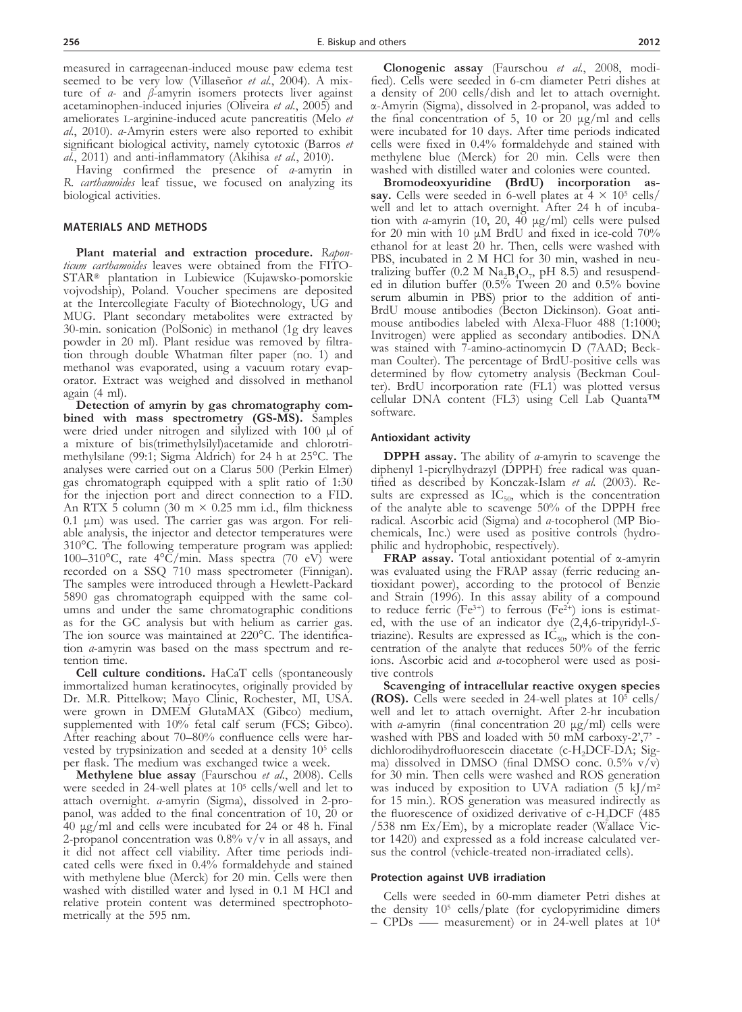measured in carrageenan-induced mouse paw edema test seemed to be very low (Villaseñor *et al.*, 2004). A mixture of *α-* and *β*-amyrin isomers protects liver against acetaminophen-induced injuries (Oliveira *et al.*, 2005) and ameliorates l-arginine-induced acute pancreatitis (Melo *et al.*, 2010). *α*-Amyrin esters were also reported to exhibit significant biological activity, namely cytotoxic (Barros *et al.*, 2011) and anti-inflammatory (Akihisa *et al.*, 2010).

Having confirmed the presence of *α*-amyrin in *R. carthamoides* leaf tissue, we focused on analyzing its biological activities.

## **Materials and Methods**

**Plant material and extraction procedure.** *Rapon-ticum carthamoides* leaves were obtained from the FITO-STAR<sup>®</sup> plantation in Lubiewice (Kujawsko-pomorskie vojvodship), Poland. Voucher specimens are deposited at the Intercollegiate Faculty of Biotechnology, UG and MUG. Plant secondary metabolites were extracted by 30-min. sonication (PolSonic) in methanol (1g dry leaves powder in 20 ml). Plant residue was removed by filtration through double Whatman filter paper (no. 1) and methanol was evaporated, using a vacuum rotary evaporator. Extract was weighed and dissolved in methanol again (4 ml).<br>Detection of amyrin by gas chromatography com-

bined with mass spectrometry (GS-MS). Samples were dried under nitrogen and silylized with 100  $\mu$ I of a mixture of bis(trimethylsilyl)acetamide and chlorotri- methylsilane (99:1; Sigma Aldrich) for 24 h at 25°C. The analyses were carried out on a Clarus 500 (Perkin Elmer) gas chromatograph equipped with a split ratio of 1:30 for the injection port and direct connection to a FID. An RTX 5 column (30 m  $\times$  0.25 mm i.d., film thickness 0.1 μm) was used. The carrier gas was argon. For reli- able analysis, the injector and detector temperatures were 310°C. The following temperature program was applied: 100–310°C, rate 4°C/min. Mass spectra (70 eV) were recorded on a SSQ 710 mass spectrometer (Finnigan). The samples were introduced through a Hewlett-Packard 5890 gas chromatograph equipped with the same col- umns and under the same chromatographic conditions as for the GC analysis but with helium as carrier gas. The ion source was maintained at 220°C. The identification *α*-amyrin was based on the mass spectrum and retention time.

**Cell culture conditions.** HaCaT cells (spontaneously immortalized human keratinocytes, originally provided by Dr. M.R. Pittelkow; Mayo Clinic, Rochester, MI, USA. were grown in DMEM GlutaMAX (Gibco) medium, supplemented with 10% fetal calf serum (FCS; Gibco). After reaching about 70–80% confluence cells were harvested by trypsinization and seeded at a density 105 cells per flask. The medium was exchanged twice a week.

**Methylene blue assay** (Faurschou *et al.*, 2008). Cells were seeded in 24-well plates at 105 cells/well and let to attach overnight. *α*-amyrin (Sigma), dissolved in 2-propanol, was added to the final concentration of 10, 20 or 40 μg/ml and cells were incubated for 24 or 48 h. Final 2-propanol concentration was  $0.8\%$  v/v in all assays, and it did not affect cell viability. After time periods indicated cells were fixed in 0.4% formaldehyde and stained with methylene blue (Merck) for 20 min. Cells were then washed with distilled water and lysed in 0.1 M HCl and relative protein content was determined spectrophotometrically at the 595 nm.

**Clonogenic assay** (Faurschou *et al.*, 2008, modified). Cells were seeded in 6-cm diameter Petri dishes at a density of 200 cells/dish and let to attach overnight. α-Amyrin (Sigma), dissolved in 2-propanol, was added to the final concentration of 5, 10 or 20  $\mu$ g/ml and cells were incubated for 10 days. After time periods indicated cells were fixed in 0.4% formaldehyde and stained with methylene blue (Merck) for 20 min. Cells were then

washed with distilled water and colonies were counted.<br>**Bromodeoxyuridine** (BrdU) incorporation as**say.** Cells were seeded in 6-well plates at  $4 \times 10^5$  cells/<br>well and let to attach overnight. After 24 h of incubation with *α*-amyrin (10, 20, 40 μg/ml) cells were pulsed for 20 min with 10 μM BrdU and fixed in ice-cold 70% ethanol for at least 20 hr. Then, cells were washed with PBS, incubated in 2 M HCl for 30 min, washed in neutralizing buffer (0.2 M Na<sub>2</sub>B<sub>4</sub>O<sub>7</sub>, pH 8.5) and resuspended in dilution buffer (0.5% Tween 20 and 0.5% bovine serum albumin in PBS) prior to the addition of anti-BrdU mouse antibodies (Becton Dickinson). Goat antimouse antibodies labeled with Alexa-Fluor 488 (1:1000; Invitrogen) were applied as secondary antibodies. DNA man Coulter). The percentage of BrdU-positive cells was determined by flow cytometry analysis (Beckman Coulter). BrdU incorporation rate (FL1) was plotted versus cellular DNA content (FL3) using Cell Lab Quanta™ software.

## **Antioxidant activity**

**DPPH assay.** The ability of *α*-amyrin to scavenge the diphenyl 1-picrylhydrazyl (DPPH) free radical was quantified as described by Konczak-Islam *et al.* (2003). Results are expressed as  $IC_{50}$ , which is the concentration of the analyte able to scavenge 50% of the DPPH free radical. Ascorbic acid (Sigma) and *α*-tocopherol (MP Bio-chemicals, Inc.) were used as positive controls (hydro-<br>philic and hydrophobic, respectively).

**FRAP assay.** Total antioxidant potential of α-amyrin was evaluated using the FRAP assay (ferric reducing an- tioxidant power), according to the protocol of Benzie and Strain (1996). In this assay ability of a compound to reduce ferric ( $Fe^{3+}$ ) to ferrous ( $Fe^{2+}$ ) ions is estimated, with the use of an indicator dye (2,4,6-tripyridyl-*S*triazine). Results are expressed as  $IC_{50}$ , which is the concentration of the analyte that reduces 50% of the ferric ions. Ascorbic acid and *α*-tocopherol were used as positive controls

**Scavenging of intracellular reactive oxygen species (ROS).** Cells were seeded in 24-well plates at 105 cells/ well and let to attach overnight. After 2-hr incubation with *α*-amyrin (final concentration 20 μg/ml) cells were washed with PBS and loaded with 50 mM carboxy-2',7' dichlorodihydrofluorescein diacetate (c-H<sub>2</sub>DCF-DA; Sigma) dissolved in DMSO (final DMSO conc.  $0.5\%$  v/v) for 30 min. Then cells were washed and ROS generation was induced by exposition to UVA radiation  $(5 \text{ kJ/m}^2)$ for 15 min.). ROS generation was measured indirectly as the fluorescence of oxidized derivative of c-H<sub>2</sub>DCF (485) /538 nm Ex/Em), by a microplate reader (Wallace Victor 1420) and expressed as a fold increase calculated versus the control (vehicle-treated non-irradiated cells).

#### **Protection against UVB irradiation**

Cells were seeded in 60-mm diameter Petri dishes at the density 105 cells/plate (for cyclopyrimidine dimers – CPDs – measurement) or in 24-well plates at  $10^4$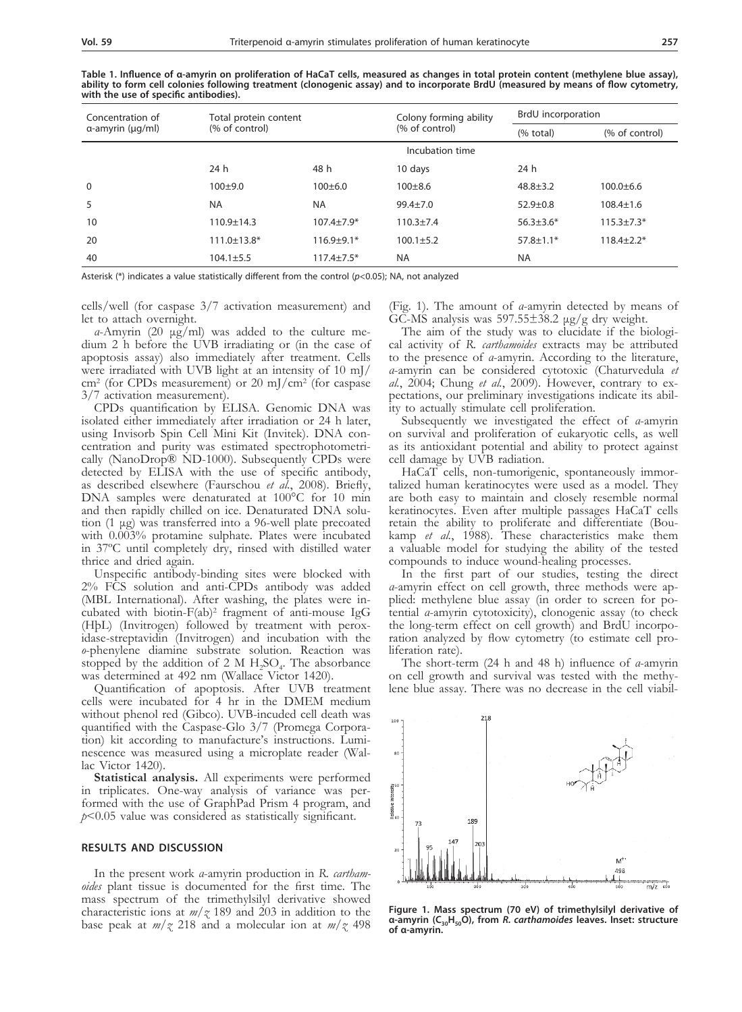**Table 1. Influence of α-amyrin on proliferation of HaCaT cells, measured as changes in total protein content (methylene blue assay), ability to form cell colonies following treatment (clonogenic assay) and to incorporate BrdU (measured by means of flow cytometry, with the use of specific antibodies).** 

| Concentration of         | Total protein content<br>(% of control) |                | Colony forming ability | BrdU incorporation |                  |
|--------------------------|-----------------------------------------|----------------|------------------------|--------------------|------------------|
| $\alpha$ -amyrin (µg/ml) |                                         |                | (% of control)         | (% total)          | (% of control)   |
|                          | Incubation time                         |                |                        |                    |                  |
|                          | 24 h                                    | 48 h           | 10 days                | 24 h               |                  |
| 0                        | $100+9.0$                               | $100+6.0$      | $100 + 8.6$            | $48.8 + 3.2$       | $100.0 \pm 6.6$  |
| 5                        | <b>NA</b>                               | <b>NA</b>      | $99.4 + 7.0$           | $52.9 + 0.8$       | $108.4 \pm 1.6$  |
| 10                       | $110.9 \pm 14.3$                        | $107.4 + 7.9*$ | $110.3 + 7.4$          | $56.3 + 3.6*$      | $115.3 + 7.3*$   |
| 20                       | $111.0 \pm 13.8*$                       | $116.9 + 9.1*$ | $100.1 + 5.2$          | $57.8 \pm 1.1*$    | $118.4 \pm 2.2*$ |
| 40                       | $104.1 \pm 5.5$                         | $117.4 + 7.5*$ | <b>NA</b>              | <b>NA</b>          |                  |

Asterisk (\*) indicates a value statistically different from the control (*p*<0.05); NA, not analyzed

cells/well (for caspase 3/7 activation measurement) and let to attach overnight.

*α*-Amyrin (20 μg/ml) was added to the culture medium 2 h before the UVB irradiating or (in the case of apoptosis assay) also immediately after treatment. Cells were irradiated with UVB light at an intensity of 10 mJ/  $\text{cm}^2$  (for CPDs measurement) or 20 mJ/cm<sup>2</sup> (for caspase 3/7 activation measurement).

CPDs quantification by ELISA. Genomic DNA was isolated either immediately after irradiation or 24 h later, using Invisorb Spin Cell Mini Kit (Invitek). DNA concentration and purity was estimated spectrophotometrically (NanoDrop® ND-1000). Subsequently CPDs were detected by ELISA with the use of specific antibody, as described elsewhere (Faurschou *et al.*, 2008). Briefly, DNA samples were denaturated at 100°C for 10 min and then rapidly chilled on ice. Denaturated DNA solution (1 μg) was transferred into a 96-well plate precoated with 0.003% protamine sulphate. Plates were incubated in 37ºC until completely dry, rinsed with distilled water thrice and dried again.

Unspecific antibody-binding sites were blocked with 2% FCS solution and anti-CPDs antibody was added (MBL International). After washing, the plates were in-<br>cubated with biotin- $F(ab)^2$  fragment of anti-mouse IgG<br>(HbL) (Invitrogen) followed by treatment with peroxidase-streptavidin (Invitrogen) and incubation with the *o*-phenylene diamine substrate solution. Reaction was stopped by the addition of 2 M  $H_2SO_4$ . The absorbance was determined at 492 nm (Wallace Victor 1420).

Quantification of apoptosis. After UVB treatment cells were incubated for 4 hr in the DMEM medium without phenol red (Gibco). UVB-incuded cell death was quantified with the Caspase-Glo 3/7 (Promega Corporation) kit according to manufacture's instructions. Luminescence was measured using a microplate reader (Wallac Victor 1420).

**Statistical analysis.** All experiments were performed in triplicates. One-way analysis of variance was per- formed with the use of GraphPad Prism 4 program, and *p*<0.05 value was considered as statistically significant.

## **Results and Discussion**

In the present work *α*-amyrin production in *R. cartham- oides* plant tissue is documented for the first time. The mass spectrum of the trimethylsilyl derivative showed characteristic ions at  $m/z$  189 and 203 in addition to the base peak at *m/z* 218 and a molecular ion at *m/z* 498 (Fig. 1). The amount of *α*-amyrin detected by means of GC-MS analysis was  $597.55\pm38.2$   $\mu$ g/g dry weight.

The aim of the study was to elucidate if the biological activity of *R. carthamoides* extracts may be attributed to the presence of *α*-amyrin. According to the literature, *α*-amyrin can be considered cytotoxic (Chaturvedula *et al.*, 2004; Chung *et al.*, 2009). However, contrary to expectations, our preliminary investigations indicate its ability to actually stimulate cell proliferation.

Subsequently we investigated the effect of *α*-amyrin on survival and proliferation of eukaryotic cells, as well as its antioxidant potential and ability to protect against cell damage by UVB radiation.

HaCaT cells, non-tumorigenic, spontaneously immortalized human keratinocytes were used as a model. They are both easy to maintain and closely resemble normal keratinocytes. Even after multiple passages HaCaT cells retain the ability to proliferate and differentiate (Boukamp *et al.*, 1988). These characteristics make them a valuable model for studying the ability of the tested compounds to induce wound-healing processes.

In the first part of our studies, testing the direct *α*-amyrin effect on cell growth, three methods were applied: methylene blue assay (in order to screen for po- tential *α*-amyrin cytotoxicity), clonogenic assay (to check ration analyzed by flow cytometry (to estimate cell pro- liferation rate).

The short-term (24 h and 48 h) influence of *α*-amyrin lene blue assay. There was no decrease in the cell viabil-



**Figure 1. Mass spectrum (70 eV) of trimethylsilyl derivative of α-amyrin (C30H50O), from** *R. carthamoides* **leaves. Inset: structure of α-amyrin.**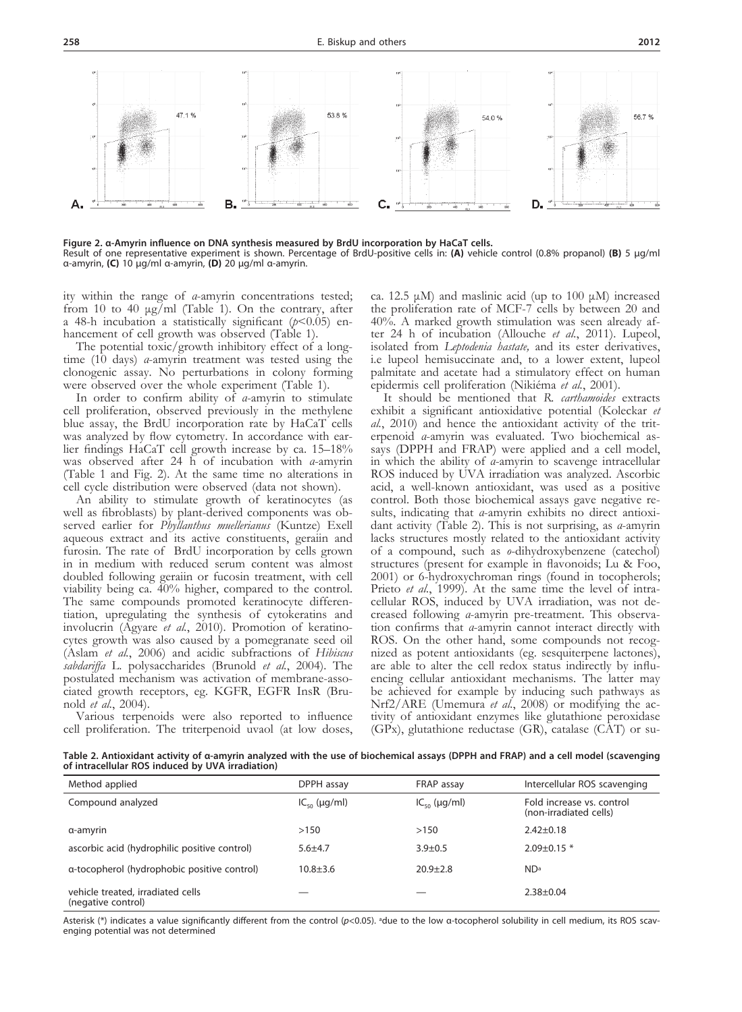

**Figure 2. α-Amyrin influence on DNA synthesis measured by BrdU incorporation by HaCaT cells.**  Result of one representative experiment is shown. Percentage of BrdU-positive cells in: **(A)** vehicle control (0.8% propanol) **(B)** 5 μg/ml α-amyrin, **(C)** 10 μg/ml α-amyrin, **(D)** 20 μg/ml α-amyrin.

ity within the range of *α*-amyrin concentrations tested; from 10 to 40  $\mu$ g/ml (Table 1). On the contrary, after a 48-h incubation a statistically significant (*p*<0.05) enhancement of cell growth was observed (Table 1).

The potential toxic/growth inhibitory effect of a longtime (10 days) *α*-amyrin treatment was tested using the clonogenic assay. No perturbations in colony forming were observed over the whole experiment (Table 1).

In order to confirm ability of *α*-amyrin to stimulate cell proliferation, observed previously in the methylene blue assay, the BrdU incorporation rate by HaCaT cells was analyzed by flow cytometry. In accordance with earlier findings HaCaT cell growth increase by ca. 15–18% was observed after 24 h of incubation with *α*-amyrin (Table 1 and Fig. 2). At the same time no alterations in cell cycle distribution were observed (data not shown).

An ability to stimulate growth of keratinocytes (as well as fibroblasts) by plant-derived components was observed earlier for *Phyllanthus muellerianus* (Kuntze) Exell aqueous extract and its active constituents, geraiin and furosin. The rate of BrdU incorporation by cells grown in in medium with reduced serum content was almost doubled following geraiin or fucosin treatment, with cell viability being ca. 40% higher, compared to the control. The same compounds promoted keratinocyte differentiation, upregulating the synthesis of cytokeratins and involucrin (Agyare *et al.*, 2010). Promotion of keratinocytes growth was also caused by a pomegranate seed oil (Aslam *et al.*, 2006) and acidic subfractions of *Hibiscus sabdariffa* L. polysaccharides (Brunold *et al.*, 2004). The postulated mechanism was activation of membrane-associated growth receptors, eg. KGFR, EGFR InsR (Brunold *et al.*, 2004).

Various terpenoids were also reported to influence cell proliferation. The triterpenoid uvaol (at low doses, ca. 12.5 μM) and maslinic acid (up to 100 μM) increased the proliferation rate of MCF-7 cells by between 20 and 40%. A marked growth stimulation was seen already after 24 h of incubation (Allouche *et al.*, 2011). Lupeol, isolated from *Leptodenia hastate,* and its ester derivatives, i.e lupeol hemisuccinate and, to a lower extent, lupeol palmitate and acetate had a stimulatory effect on human epidermis cell proliferation (Nikiéma *et al.*, 2001).

It should be mentioned that *R. carthamoides* extracts exhibit a significant antioxidative potential (Koleckar *et al.*, 2010) and hence the antioxidant activity of the triterpenoid *α*-amyrin was evaluated. Two biochemical assays (DPPH and FRAP) were applied and a cell model, in which the ability of *α*-amyrin to scavenge intracellular ROS induced by UVA irradiation was analyzed. Ascorbic acid, a well-known antioxidant, was used as a positive control. Both those biochemical assays gave negative results, indicating that *α*-amyrin exhibits no direct antioxidant activity (Table 2). This is not surprising, as *α*-amyrin lacks structures mostly related to the antioxidant activity of a compound, such as *o*-dihydroxybenzene (catechol) structures (present for example in flavonoids; Lu & Foo, 2001) or 6-hydroxychroman rings (found in tocopherols; Prieto *et al.*, 1999). At the same time the level of intracellular ROS, induced by UVA irradiation, was not decreased following *α*-amyrin pre-treatment. This observation confirms that *α*-amyrin cannot interact directly with ROS. On the other hand, some compounds not recognized as potent antioxidants (eg. sesquiterpene lactones), are able to alter the cell redox status indirectly by influencing cellular antioxidant mechanisms. The latter may be achieved for example by inducing such pathways as Nrf2/ARE (Umemura *et al.*, 2008) or modifying the activity of antioxidant enzymes like glutathione peroxidase (GPx), glutathione reductase (GR), catalase (CAT) or su-

**Table 2. Antioxidant activity of α-amyrin analyzed with the use of biochemical assays (DPPH and FRAP) and a cell model (scavenging of intracellular ROS induced by UVA irradiation)**

| Method applied                                          | DPPH assay              | FRAP assay              | Intercellular ROS scavenging                        |
|---------------------------------------------------------|-------------------------|-------------------------|-----------------------------------------------------|
| Compound analyzed                                       | $IC_{50}$ ( $\mu$ g/ml) | $IC_{50}$ ( $\mu$ g/ml) | Fold increase vs. control<br>(non-irradiated cells) |
| α-amγrin                                                | >150                    | >150                    | $2.42 \pm 0.18$                                     |
| ascorbic acid (hydrophilic positive control)            | $5.6 + 4.7$             | $3.9 \pm 0.5$           | $2.09 \pm 0.15$ *                                   |
| a-tocopherol (hydrophobic positive control)             | $10.8 + 3.6$            | $20.9 + 2.8$            | N <sub>D</sub> a                                    |
| vehicle treated, irradiated cells<br>(negative control) |                         |                         | $2.38 + 0.04$                                       |

Asterisk (\*) indicates a value significantly different from the control (*p*<0.05). adue to the low α-tocopherol solubility in cell medium, its ROS scavenging potential was not determined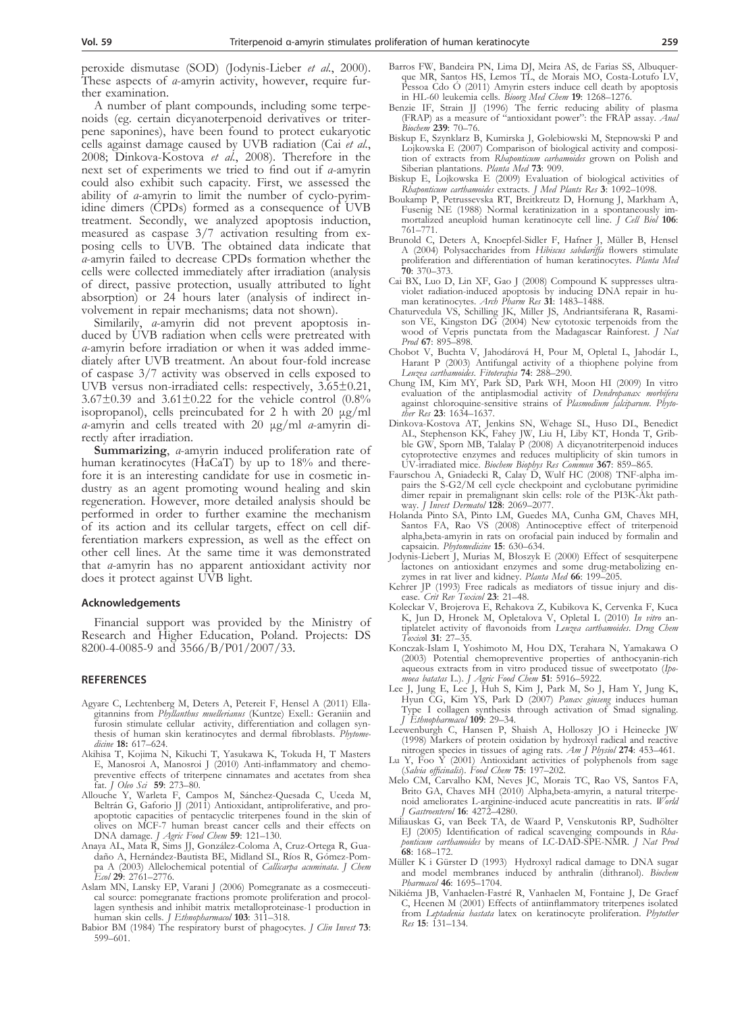peroxide dismutase (SOD) (Jodynis-Lieber *et al.*, 2000). These aspects of *α*-amyrin activity, however, require further examination.

A number of plant compounds, including some terpenoids (eg. certain dicyanoterpenoid derivatives or triterpene saponines), have been found to protect eukaryotic cells against damage caused by UVB radiation (Cai *et al.*, 2008; Dinkova-Kostova *et al.*, 2008). Therefore in the next set of experiments we tried to find out if *α*-amyrin could also exhibit such capacity. First, we assessed the ability of *a*-amyrin to limit the number of cyclo-pyrimidine dimers (CPDs) formed as a consequence of UVB treatment. Secondly, we analyzed apoptosis induction, measured as caspase  $3/7$  activation resulting from exposing cells to UVB. The obtained data indicate that *α*-amyrin failed to decrease CPDs formation whether the cells were collected immediately after irradiation (analysis of direct, passive protection, usually attributed to light absorption) or 24 hours later (analysis of indirect in- volvement in repair mechanisms; data not shown).

Similarily, *a*-amyrin did not prevent apoptosis induced by UVB radiation when cells were pretreated with *<sup>α</sup>*-amyrin before irradiation or when it was added imme- diately after UVB treatment. An about four-fold increase of caspase 3/7 activity was observed in cells exposed to UVB versus non-irradiated cells: respectively, 3.65±0.21, 3.67 $\pm$ 0.39 and 3.61 $\pm$ 0.22 for the vehicle control (0.8% isopropanol), cells preincubated for 2 h with 20 μg/ml *<sup>α</sup>*-amyrin and cells treated with 20 μg/ml *α*-amyrin di- rectly after irradiation.

**Summarizing**, *α*-amyrin induced proliferation rate of fore it is an interesting candidate for use in cosmetic in-<br>dustry as an agent promoting wound healing and skin regeneration. However, more detailed analysis should be performed in order to further examine the mechanism of its action and its cellular targets, effect on cell dif- ferentiation markers expression, as well as the effect on other cell lines. At the same time it was demonstrated that *α*-amyrin has no apparent antioxidant activity nor does it protect against UVB light.

#### **Acknowledgements**

Financial support was provided by the Ministry of Research and Higher Education, Poland. Projects: DS 8200-4-0085-9 and 3566/B/P01/2007/33.

#### **References**

- Agyare C, Lechtenberg M, Deters A, Petereit F, Hensel A (2011) Ellagitannins from *Phyllanthus muellerianus* (Kuntze) Exell.: Geraniin and furosin stimulate cellular activity, differentiation and collagen synthesis of human skin keratinocytes and dermal fibroblasts. *Phytomedicine* **18:** 617–624.
- Akihisa T, Kojima N, Kikuchi T, Yasukawa K, Tokuda H, T Masters E, Manosroi A, Manosroi J (2010) Anti-inflammatory and chemopreventive effects of triterpene cinnamates and acetates from shea fat. *J Oleo Sci* **59**: 273–80.
- Allouche Y, Warleta F, Campos M, Sánchez-Quesada C, Uceda M, Beltrán G, Gaforio JJ (2011) Antioxidant, antiproliferative, and proapoptotic capacities of pentacyclic triterpenes found in the skin of olives on MCF-7 human breast cancer cells and their effects on DNA damage. *J Agric Food Chem* **59**: 121–130.
- Anaya AL, Mata R, Sims JJ, González-Coloma A, Cruz-Ortega R, Guadaño A, Hernández-Bautista BE, Midland SL, Ríos R, Gómez-Pompa A (2003) Allelochemical potential of *Callicarpa acuminata*. *J Chem Ecol* **29**: 2761–2776.
- Aslam MN, Lansky EP, Varani J (2006) Pomegranate as a cosmeceutical source: pomegranate fractions promote proliferation and procollagen synthesis and inhibit matrix metalloproteinase-1 production in human skin cells. *J Ethnopharmacol* **103**: 311–318.
- Babior BM (1984) The respiratory burst of phagocytes. *J Clin Invest* **73**: 599–601.
- Barros FW, Bandeira PN, Lima DJ, Meira AS, de Farias SS, Albuquerque MR, Santos HS, Lemos TL, de Morais MO, Costa-Lotufo LV, Pessoa Cdo Ó (2011) Amyrin esters induce cell death by apoptosis in HL-60 leukemia cells. *Bioorg Med Chem* **19**: 1268–1276.
- Benzie IF, Strain JJ (1996) The ferric reducing ability of plasma (FRAP) as a measure of "antioxidant power": the FRAP assay. *Anal Biochem* **239**: 70–76.
- Biskup E, Szynklarz B, Kumirska J, Golebiowski M, Stepnowski P and Lojkowska E (2007) Comparison of biological activity and composition of extracts from *Rhaponticum carhamoides* grown on Polish and Siberian plantations. *Planta Med* **73**: 909.
- Biskup E, Lojkowska E (2009) Evaluation of biological activities of *Rhaponticum carthamoides* extracts. *J Med Plants Res* **3**: 1092–1098.
- Boukamp P, Petrussevska RT, Breitkreutz D, Hornung J, Markham A, Fusenig NE (1988) Normal keratinization in a spontaneously immortalized aneuploid human keratinocyte cell line. *J Cell Biol* **106**: 761–771.
- Brunold C, Deters A, Knoepfel-Sidler F, Hafner J, Müller B, Hensel A (2004) Polysaccharides from *Hibiscus sabdariffa* flowers stimulate proliferation and differentiation of human keratinocytes. *Planta Med* **70**: 370–373.
- Cai BX, Luo D, Lin XF, Gao J (2008) Compound K suppresses ultraviolet radiation-induced apoptosis by inducing DNA repair in human keratinocytes. *Arch Pharm Res* **31**: 1483–1488.
- Chaturvedula VS, Schilling JK, Miller JS, Andriantsiferana R, Rasamison VE, Kingston DG (2004) New cytotoxic terpenoids from the wood of Vepris punctata from the Madagascar Rainforest. *J Nat Prod* **67**: 895–898.
- Chobot V, Buchta V, Jahodárová H, Pour M, Opletal L, Jahodár L, Harant P (2003) Antifungal activity of a thiophene polyine from *Leuzea carthamoides*. *Fitoterapia* **74**: 288–290.
- Chung IM, Kim MY, Park SD, Park WH, Moon HI (2009) In vitro evaluation of the antiplasmodial activity of *Dendropanax morbifera* against chloroquine-sensitive strains of *Plasmodium falciparum*. *Phytother Res* **23**: 1634–1637.
- Dinkova-Kostova AT, Jenkins SN, Wehage SL, Huso DL, Benedict AL, Stephenson KK, Fahey JW, Liu H, Liby KT, Honda T, Gribble GW, Sporn MB, Talalay P (2008) A dicyanotriterpenoid induces cytoprotective enzymes and reduces multiplicity of skin tumors in UV-irradiated mice. *Biochem Biophys Res Commun* **367**: 859–865.
- Faurschou A, Gniadecki R, Calay D, Wulf HC (2008) TNF-alpha impairs the S-G2/M cell cycle checkpoint and cyclobutane pyrimidine dimer repair in premalignant skin cells: role of the PI3K-Akt pathway. *J Invest Dermatol* **128**: 2069–2077.
- Holanda Pinto SA, Pinto LM, Guedes MA, Cunha GM, Chaves MH, Santos FA, Rao VS (2008) Antinoceptive effect of triterpenoid alpha,beta-amyrin in rats on orofacial pain induced by formalin and capsaicin. *Phytomedicine* **15**: 630–634.
- Jodynis-Liebert J, Murias M, Błoszyk E (2000) Effect of sesquiterpene lactones on antioxidant enzymes and some drug-metabolizing enzymes in rat liver and kidney. *Planta Med* **66**: 199–205.
- Kehrer JP (1993) Free radicals as mediators of tissue injury and disease. *Crit Rev Toxicol* **23**: 21–48.
- Koleckar V, Brojerova E, Rehakova Z, Kubikova K, Cervenka F, Kuca K, Jun D, Hronek M, Opletalova V, Opletal L (2010) *In vitro* antiplatelet activity of flavonoids from *Leuzea carthamoides*. *Drug Chem Toxico*l **31**: 27–35.
- Konczak-Islam I, Yoshimoto M, Hou DX, Terahara N, Yamakawa O (2003) Potential chemopreventive properties of anthocyanin-rich aqueous extracts from in vitro produced tissue of sweetpotato (*Ipo-*
- *moea batatas* L.). *J Agric Food Chem* **51**: 5916–5922. Lee J, Jung E, Lee J, Huh S, Kim J, Park M, So J, Ham Y, Jung K, Hyun CG, Kim YS, Park D (2007) *Panax ginseng* induces human Type I collagen synthesis through activation of Smad signaling. *J Ethnopharmacol* **109**: 29–34.
- Leewenburgh C, Hansen P, Shaish A, Holloszy JO i Heinecke JW (1998) Markers of protein oxidation by hydroxyl radical and reactive
- nitrogen species in tissues of aging rats. *Am J Physiol* **274**: 453–461. Lu Y, Foo Y (2001) Antioxidant activities of polyphenols from sage
- (*Salvia officinalis*). *Food Chem* **75**: 197–202. Melo CM, Carvalho KM, Neves JC, Morais TC, Rao VS, Santos FA, Brito GA, Chaves MH (2010) Alpha,beta-amyrin, a natural triterpenoid ameliorates L-arginine-induced acute pancreatitis in rats. *World J Gastroenterol* **16**: 4272–4280.
- Miliauskas G, van Beek TA, de Waard P, Venskutonis RP, Sudhölter EJ (2005) Identification of radical scavenging compounds in *Rhaponticum carthamoides* by means of LC-DAD-SPE-NMR. *J Nat Prod* **68**: 168–172.
- Müller K i Gürster D (1993) Hydroxyl radical damage to DNA sugar and model membranes induced by anthralin (dithranol). *Biochem Pharmacol* **46**: 1695–1704.
- Nikiéma JB, Vanhaelen-Fastré R, Vanhaelen M, Fontaine J, De Graef C, Heenen M (2001) Effects of antiinflammatory triterpenes isolated from *Leptadenia hastata* latex on keratinocyte proliferation. *Phytother Res* **15**: 131–134.